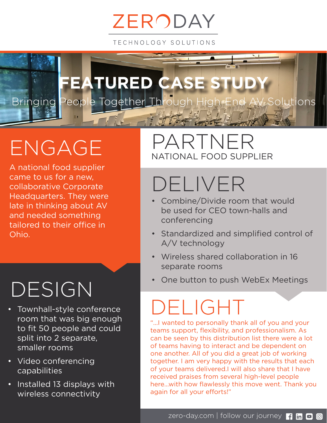# ZERODAY

TECHNOLOGY SOLUTIONS



# ENGAGE

A national food supplier came to us for a new, collaborative Corporate Headquarters. They were late in thinking about AV and needed something tailored to their office in Ohio.

### DESIGN

- Townhall-style conference room that was big enough to fit 50 people and could split into 2 separate, smaller rooms
- Video conferencing capabilities
- Installed 13 displays with wireless connectivity

#### PARTNER NATIONAL FOOD SUPPLIER

### DELIVER

- Combine/Divide room that would be used for CEO town-halls and conferencing
- Standardized and simplified control of A/V technology
- Wireless shared collaboration in 16 separate rooms
- One button to push WebEx Meetings

# DELIGHT

"...I wanted to personally thank all of you and your teams support, flexibility, and professionalism. As can be seen by this distribution list there were a lot of teams having to interact and be dependent on one another. All of you did a great job of working together. I am very happy with the results that each of your teams delivered.I will also share that I have received praises from several high-level people here...with how flawlessly this move went. Thank you again for all your efforts!"